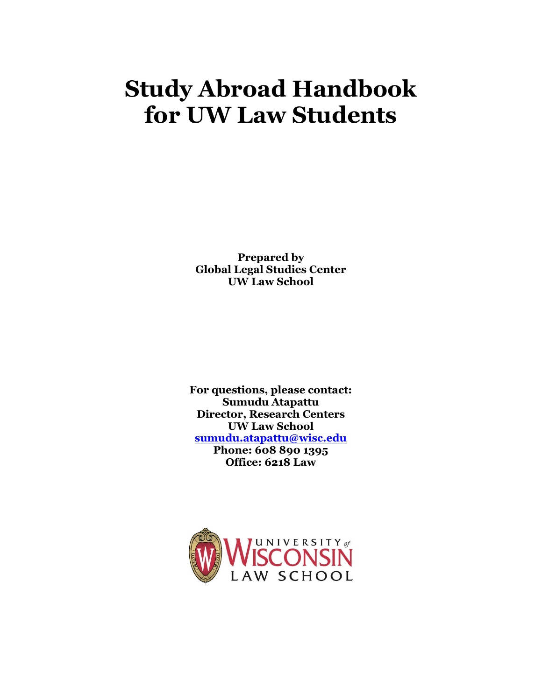# **Study Abroad Handbook for UW Law Students**

**Prepared by Global Legal Studies Center UW Law School**

**For questions, please contact: Sumudu Atapattu Director, Research Centers UW Law School [sumudu.atapattu@wisc.edu](mailto:sumudu.atapattu@wisc.edu) Phone: 608 890 1395 Office: 6218 Law**

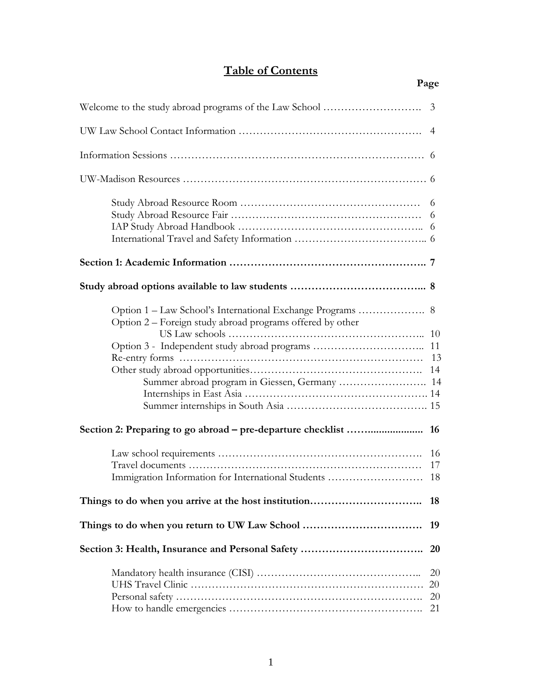# **Table of Contents**

| $\overline{4}$                                            |                      |  |  |
|-----------------------------------------------------------|----------------------|--|--|
|                                                           |                      |  |  |
|                                                           |                      |  |  |
|                                                           |                      |  |  |
|                                                           |                      |  |  |
|                                                           |                      |  |  |
| Option 2 – Foreign study abroad programs offered by other |                      |  |  |
|                                                           |                      |  |  |
| <b>16</b>                                                 |                      |  |  |
| Immigration Information for International Students        | 17<br>18             |  |  |
|                                                           | 18                   |  |  |
|                                                           | 19                   |  |  |
|                                                           | 20                   |  |  |
|                                                           | 20<br>20<br>20<br>21 |  |  |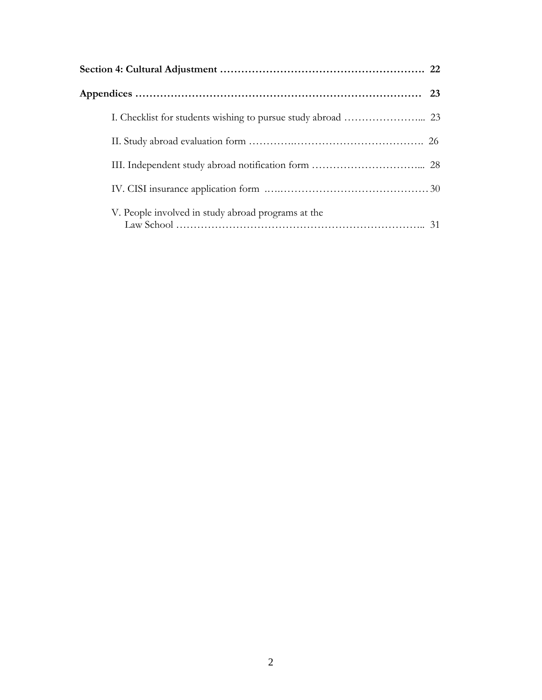| V. People involved in study abroad programs at the |  |  |
|----------------------------------------------------|--|--|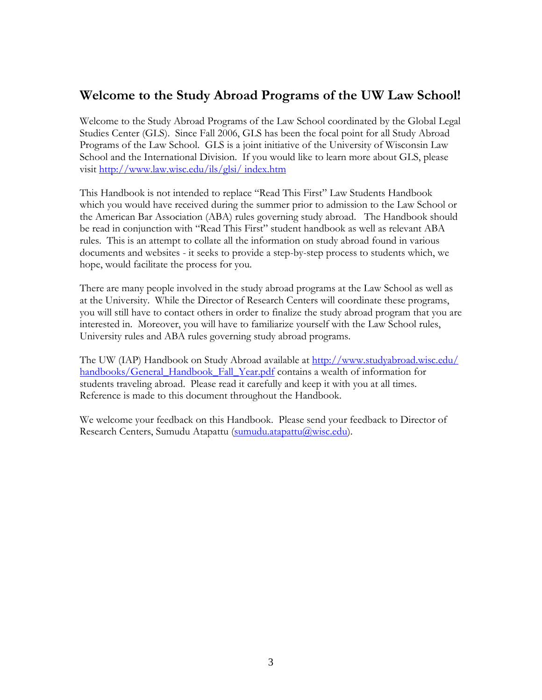## **Welcome to the Study Abroad Programs of the UW Law School!**

Welcome to the Study Abroad Programs of the Law School coordinated by the Global Legal Studies Center (GLS). Since Fall 2006, GLS has been the focal point for all Study Abroad Programs of the Law School. GLS is a joint initiative of the University of Wisconsin Law School and the International Division. If you would like to learn more about GLS, please visit [http://www.law.wisc.edu/ils/glsi/ index.htm](http://www.law.wisc.edu/ils/glsi/%20index.htm)

This Handbook is not intended to replace "Read This First" Law Students Handbook which you would have received during the summer prior to admission to the Law School or the American Bar Association (ABA) rules governing study abroad. The Handbook should be read in conjunction with "Read This First" student handbook as well as relevant ABA rules. This is an attempt to collate all the information on study abroad found in various documents and websites - it seeks to provide a step-by-step process to students which, we hope, would facilitate the process for you.

There are many people involved in the study abroad programs at the Law School as well as at the University. While the Director of Research Centers will coordinate these programs, you will still have to contact others in order to finalize the study abroad program that you are interested in. Moreover, you will have to familiarize yourself with the Law School rules, University rules and ABA rules governing study abroad programs.

The UW (IAP) Handbook on Study Abroad available at http://www.studyabroad.wisc.edu/ [handbooks/General\\_Handbook\\_Fall\\_Year.pdf](http://www.studyabroad.wisc.edu/%20handbooks/General_Handbook_Fall_Year.pdf) contains a wealth of information for students traveling abroad. Please read it carefully and keep it with you at all times. Reference is made to this document throughout the Handbook.

We welcome your feedback on this Handbook. Please send your feedback to Director of Research Centers, Sumudu Atapattu [\(sumudu.atapattu@wisc.edu\)](mailto:sumudu.atapattu@wisc.edu).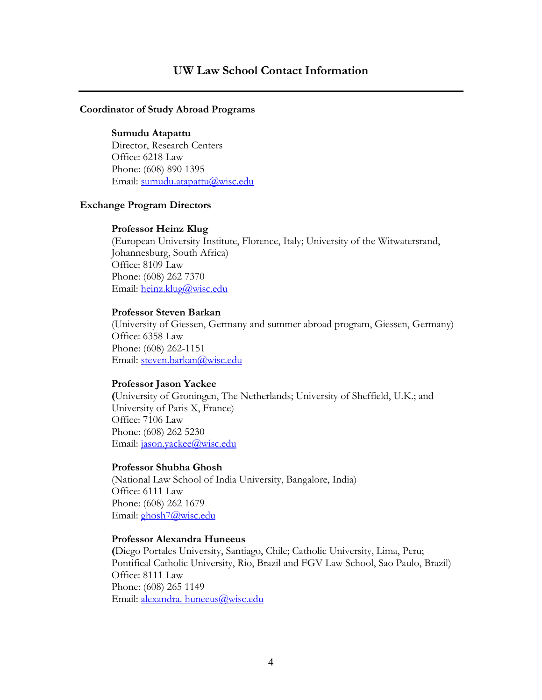#### **Coordinator of Study Abroad Programs**

#### **Sumudu Atapattu**

Director, Research Centers Office: 6218 Law Phone: (608) 890 1395 Email: [sumudu.atapattu@wisc.edu](mailto:sumudu.atapattu@wisc.edu)

#### **Exchange Program Directors**

#### **Professor Heinz Klug**

(European University Institute, Florence, Italy; University of the Witwatersrand, Johannesburg, South Africa) Office: 8109 Law Phone: (608) 262 7370 Email: [heinz.klug@wisc.edu](mailto:heinz.klug@wisc.edu) 

#### **Professor Steven Barkan**

(University of Giessen, Germany and summer abroad program, Giessen, Germany) Office: 6358 Law Phone: (608) 262-1151 Email: [steven.barkan@wisc.edu](mailto:steven.barkan@wisc.edu)

#### **Professor Jason Yackee**

**(**University of Groningen, The Netherlands; University of Sheffield, U.K.; and University of Paris X, France) Office: 7106 Law Phone: (608) 262 5230 Email: [jason.yackee@wisc.edu](mailto:jason.yackee@wisc.edu)

#### **Professor Shubha Ghosh**

(National Law School of India University, Bangalore, India) Office: 6111 Law Phone: (608) 262 1679 Email: [ghosh7@wisc.edu](mailto:ghosh7@wisc.edu)

#### **Professor Alexandra Huneeus**

**(**Diego Portales University, Santiago, Chile; Catholic University, Lima, Peru; Pontifical Catholic University, Rio, Brazil and FGV Law School, Sao Paulo, Brazil) Office: 8111 Law Phone: (608) 265 1149 Email: [alexandra. huneeus@wisc.edu](mailto:alexandra.%20huneeus@wisc.edu)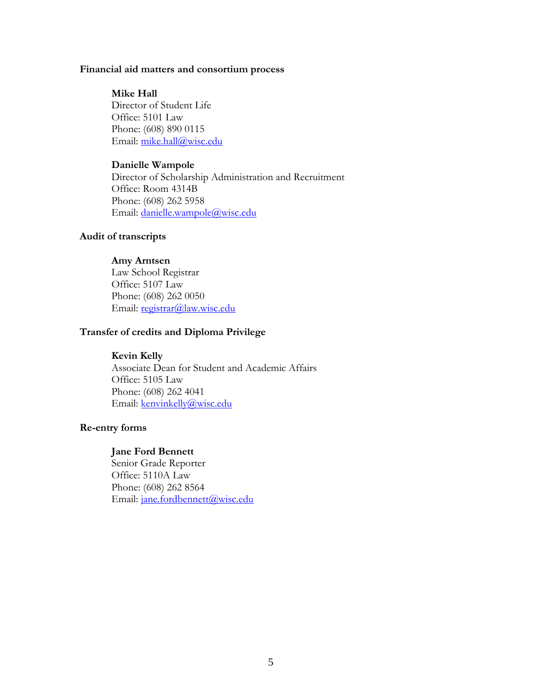#### **Financial aid matters and consortium process**

#### **Mike Hall**

Director of Student Life Office: 5101 Law Phone: (608) 890 0115 Email: [mike.hall@wisc.edu](mailto:mike.hall@wisc.edu)

#### **Danielle Wampole**

Director of Scholarship Administration and Recruitment Office: Room 4314B Phone: (608) 262 5958 Email: [danielle.wampole@wisc.edu](mailto:danielle.wampole@wisc.edu)

#### **Audit of transcripts**

#### **Amy Arntsen**

Law School Registrar Office: 5107 Law Phone: (608) 262 0050 Email: [registrar@law.wisc.edu](mailto:registrar@law.wisc.edu)

#### **Transfer of credits and Diploma Privilege**

#### **Kevin Kelly**

Associate Dean for Student and Academic Affairs Office: 5105 Law Phone: (608) 262 4041 Email: [kenvinkelly@wisc.edu](mailto:kenvinkelly@wisc.edu)

#### **Re-entry forms**

#### **Jane Ford Bennett**

Senior Grade Reporter Office: 5110A Law Phone: (608) 262 8564 Email: [jane.fordbennett@wisc.edu](mailto:jane.fordbennett@wisc.edu)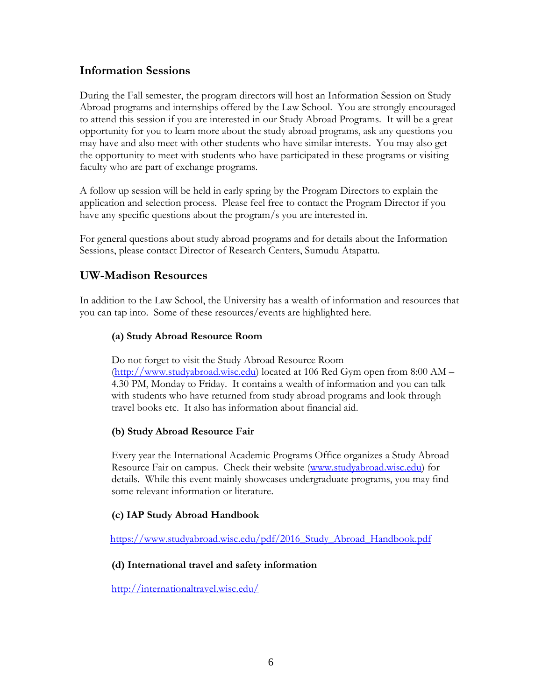## **Information Sessions**

During the Fall semester, the program directors will host an Information Session on Study Abroad programs and internships offered by the Law School. You are strongly encouraged to attend this session if you are interested in our Study Abroad Programs. It will be a great opportunity for you to learn more about the study abroad programs, ask any questions you may have and also meet with other students who have similar interests. You may also get the opportunity to meet with students who have participated in these programs or visiting faculty who are part of exchange programs.

A follow up session will be held in early spring by the Program Directors to explain the application and selection process. Please feel free to contact the Program Director if you have any specific questions about the program/s you are interested in.

For general questions about study abroad programs and for details about the Information Sessions, please contact Director of Research Centers, Sumudu Atapattu.

## **UW-Madison Resources**

In addition to the Law School, the University has a wealth of information and resources that you can tap into. Some of these resources/events are highlighted here.

## **(a) Study Abroad Resource Room**

Do not forget to visit the Study Abroad Resource Room [\(http://www.studyabroad.wisc.edu\)](http://www.studyabroad.wisc.edu/) located at 106 Red Gym open from 8:00 AM – 4.30 PM, Monday to Friday. It contains a wealth of information and you can talk with students who have returned from study abroad programs and look through travel books etc. It also has information about financial aid.

## **(b) Study Abroad Resource Fair**

Every year the International Academic Programs Office organizes a Study Abroad Resource Fair on campus. Check their website [\(www.studyabroad.wisc.edu\)](http://www.studyabroad.wisc.edu/) for details. While this event mainly showcases undergraduate programs, you may find some relevant information or literature.

## **(c) IAP Study Abroad Handbook**

[https://www.studyabroad.wisc.edu/pdf/2016\\_Study\\_Abroad\\_Handbook.pdf](https://www.studyabroad.wisc.edu/pdf/2016_Study_Abroad_Handbook.pdf)

## **(d) International travel and safety information**

<http://internationaltravel.wisc.edu/>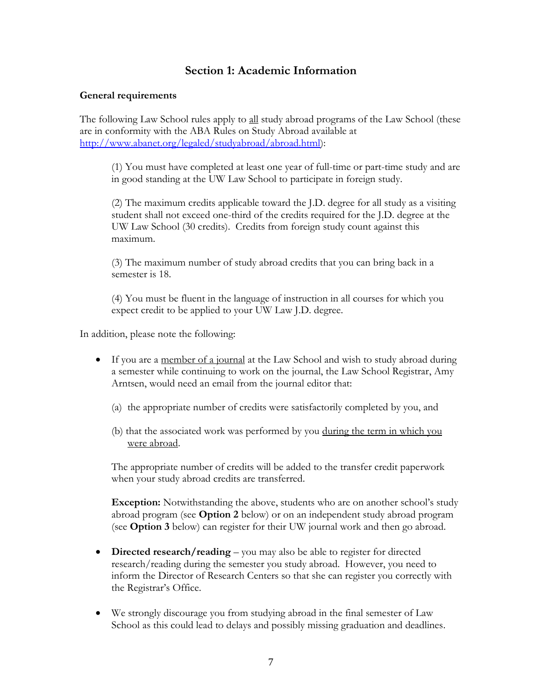## **Section 1: Academic Information**

#### **General requirements**

The following Law School rules apply to all study abroad programs of the Law School (these are in conformity with the ABA Rules on Study Abroad available at [http://www.abanet.org/legaled/studyabroad/abroad.html\)](http://www.abanet.org/legaled/studyabroad/abroad.html):

(1) You must have completed at least one year of full-time or part-time study and are in good standing at the UW Law School to participate in foreign study.

(2) The maximum credits applicable toward the J.D. degree for all study as a visiting student shall not exceed one-third of the credits required for the J.D. degree at the UW Law School (30 credits). Credits from foreign study count against this maximum.

(3) The maximum number of study abroad credits that you can bring back in a semester is 18.

(4) You must be fluent in the language of instruction in all courses for which you expect credit to be applied to your UW Law J.D. degree.

In addition, please note the following:

- If you are a member of a journal at the Law School and wish to study abroad during a semester while continuing to work on the journal, the Law School Registrar, Amy Arntsen, would need an email from the journal editor that:
	- (a) the appropriate number of credits were satisfactorily completed by you, and
	- (b) that the associated work was performed by you during the term in which you were abroad.

The appropriate number of credits will be added to the transfer credit paperwork when your study abroad credits are transferred.

**Exception:** Notwithstanding the above, students who are on another school's study abroad program (see **Option 2** below) or on an independent study abroad program (see **Option 3** below) can register for their UW journal work and then go abroad.

- **Directed research/reading** you may also be able to register for directed research/reading during the semester you study abroad. However, you need to inform the Director of Research Centers so that she can register you correctly with the Registrar's Office.
- We strongly discourage you from studying abroad in the final semester of Law School as this could lead to delays and possibly missing graduation and deadlines.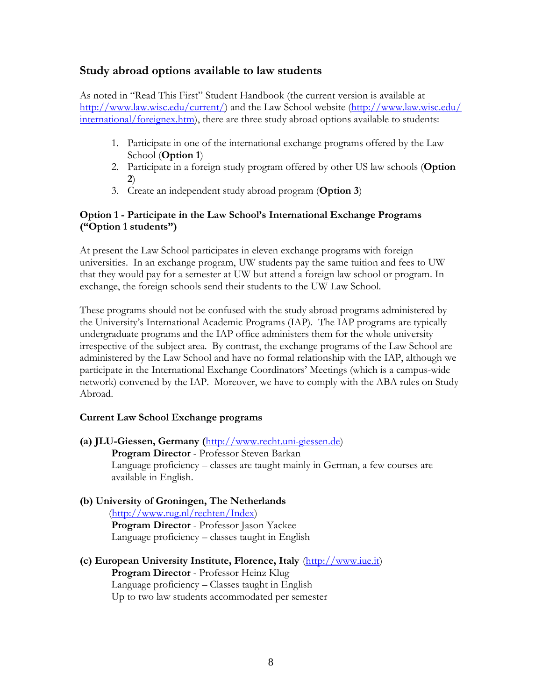## **Study abroad options available to law students**

As noted in "Read This First" Student Handbook (the current version is available at [http://www.law.wisc.edu/current/\)](http://www.law.wisc.edu/current/) and the Law School website [\(http://www.law.wisc.edu/](http://www.law.wisc.edu/%20international/foreignex.htm)  [international/foreignex.htm\)](http://www.law.wisc.edu/%20international/foreignex.htm), there are three study abroad options available to students:

- 1. Participate in one of the international exchange programs offered by the Law School (**Option 1**)
- 2. Participate in a foreign study program offered by other US law schools (**Option 2**)
- 3. Create an independent study abroad program (**Option 3**)

#### **Option 1 - Participate in the Law School's International Exchange Programs ("Option 1 students")**

At present the Law School participates in eleven exchange programs with foreign universities.In an exchange program, UW students pay the same tuition and fees to UW that they would pay for a semester at UW but attend a foreign law school or program. In exchange, the foreign schools send their students to the UW Law School.

These programs should not be confused with the study abroad programs administered by the University's International Academic Programs (IAP). The IAP programs are typically undergraduate programs and the IAP office administers them for the whole university irrespective of the subject area. By contrast, the exchange programs of the Law School are administered by the Law School and have no formal relationship with the IAP, although we participate in the International Exchange Coordinators' Meetings (which is a campus-wide network) convened by the IAP. Moreover, we have to comply with the ABA rules on Study Abroad.

#### **Current Law School Exchange programs**

**(a) JLU-Giessen, Germany (**[http://www.recht.uni-giessen.de\)](http://www.recht.uni-giessen.de/) **Program Director** - Professor Steven Barkan Language proficiency – classes are taught mainly in German, a few courses are available in English.

#### **(b) University of Groningen, The Netherlands** [\(http://www.rug.nl/rechten/Index\)](http://www.rug.nl/rechten/Index) **Program Director** - Professor Jason Yackee

Language proficiency – classes taught in English

**(c) European University Institute, Florence, Italy** [\(http://www.iue.it\)](http://www.iue.it/) **Program Director** - Professor Heinz Klug Language proficiency – Classes taught in English Up to two law students accommodated per semester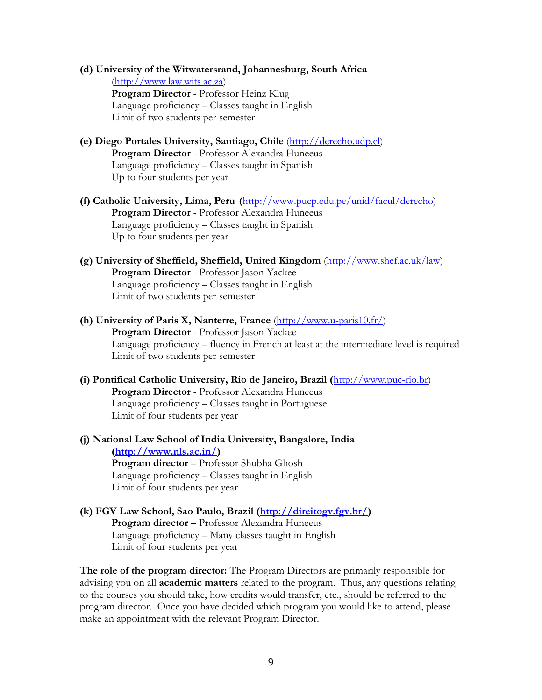- **(d) University of the Witwatersrand, Johannesburg, South Africa**  [\(http://www.law.wits.ac.za\)](http://www.law.wits.ac.za/) **Program Director** - Professor Heinz Klug Language proficiency – Classes taught in English Limit of two students per semester
- **(e) Diego Portales University, Santiago, Chile** [\(http://derecho.udp.cl\)](http://derecho.udp.cl/) **Program Director** - Professor Alexandra Huneeus Language proficiency – Classes taught in Spanish Up to four students per year
- **(f) Catholic University, Lima, Peru (**[http://www.pucp.edu.pe/unid/facul/derecho\)](http://www.pucp.edu.pe/unid/facul/derecho) **Program Director** - Professor Alexandra Huneeus Language proficiency – Classes taught in Spanish Up to four students per year
- **(g) University of Sheffield, Sheffield, United Kingdom** [\(http://www.shef.ac.uk/law\)](http://www.shef.ac.uk/law) **Program Director** - Professor Jason Yackee Language proficiency – Classes taught in English Limit of two students per semester
- **(h) University of Paris X, Nanterre, France** [\(http://www.u-paris10.fr/\)](http://www.u-paris10.fr/) **Program Director** - Professor Jason Yackee Language proficiency – fluency in French at least at the intermediate level is required Limit of two students per semester
- **(i) Pontifical Catholic University, Rio de Janeiro, Brazil (**[http://www.puc-rio.br\)](http://www.puc-rio.br/) **Program Director** - Professor Alexandra Huneeus Language proficiency – Classes taught in Portuguese Limit of four students per year
- **(j) National Law School of India University, Bangalore, India [\(http://www.nls.ac.in/\)](http://www.nls.ac.in/) Program director** – Professor Shubha Ghosh Language proficiency – Classes taught in English Limit of four students per year
- **(k) FGV Law School, Sao Paulo, Brazil [\(http://direitogv.fgv.br/\)](http://direitogv.fgv.br/) Program director –** Professor Alexandra Huneeus Language proficiency – Many classes taught in English Limit of four students per year

**The role of the program director:** The Program Directors are primarily responsible for advising you on all **academic matters** related to the program. Thus, any questions relating to the courses you should take, how credits would transfer, etc., should be referred to the program director. Once you have decided which program you would like to attend, please make an appointment with the relevant Program Director.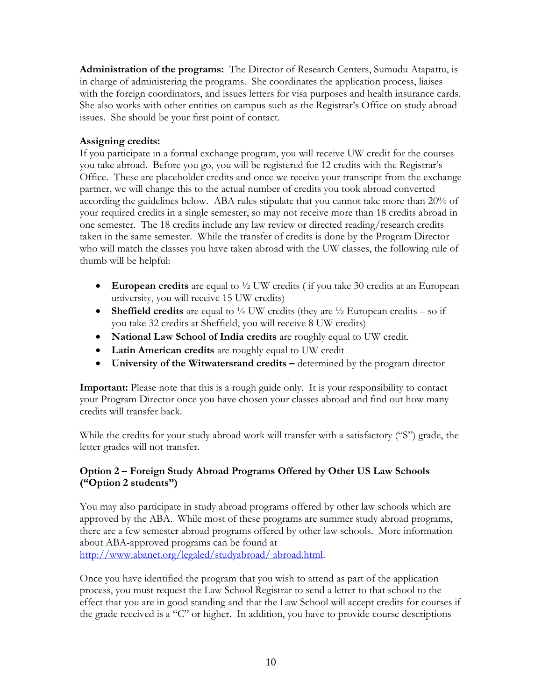**Administration of the programs:** The Director of Research Centers, Sumudu Atapattu, is in charge of administering the programs. She coordinates the application process, liaises with the foreign coordinators, and issues letters for visa purposes and health insurance cards. She also works with other entities on campus such as the Registrar's Office on study abroad issues. She should be your first point of contact.

#### **Assigning credits:**

If you participate in a formal exchange program, you will receive UW credit for the courses you take abroad. Before you go, you will be registered for 12 credits with the Registrar's Office. These are placeholder credits and once we receive your transcript from the exchange partner, we will change this to the actual number of credits you took abroad converted according the guidelines below. ABA rules stipulate that you cannot take more than 20% of your required credits in a single semester, so may not receive more than 18 credits abroad in one semester. The 18 credits include any law review or directed reading/research credits taken in the same semester. While the transfer of credits is done by the Program Director who will match the classes you have taken abroad with the UW classes, the following rule of thumb will be helpful:

- **European credits** are equal to ½ UW credits ( if you take 30 credits at an European university, you will receive 15 UW credits)
- **Sheffield credits** are equal to  $\frac{1}{4}$  UW credits (they are  $\frac{1}{2}$  European credits so if you take 32 credits at Sheffield, you will receive 8 UW credits)
- **National Law School of India credits** are roughly equal to UW credit.
- **Latin American credits** are roughly equal to UW credit
- **University of the Witwatersrand credits –** determined by the program director

**Important:** Please note that this is a rough guide only. It is your responsibility to contact your Program Director once you have chosen your classes abroad and find out how many credits will transfer back.

While the credits for your study abroad work will transfer with a satisfactory ("S") grade, the letter grades will not transfer.

## **Option 2 – Foreign Study Abroad Programs Offered by Other US Law Schools ("Option 2 students")**

You may also participate in study abroad programs offered by other law schools which are approved by the ABA. While most of these programs are summer study abroad programs, there are a few semester abroad programs offered by other law schools. More information about ABA-approved programs can be found at [http://www.abanet.org/legaled/studyabroad/ abroad.html.](http://www.abanet.org/legaled/studyabroad/abroad.html)

Once you have identified the program that you wish to attend as part of the application process, you must request the Law School Registrar to send a letter to that school to the effect that you are in good standing and that the Law School will accept credits for courses if the grade received is a "C" or higher. In addition, you have to provide course descriptions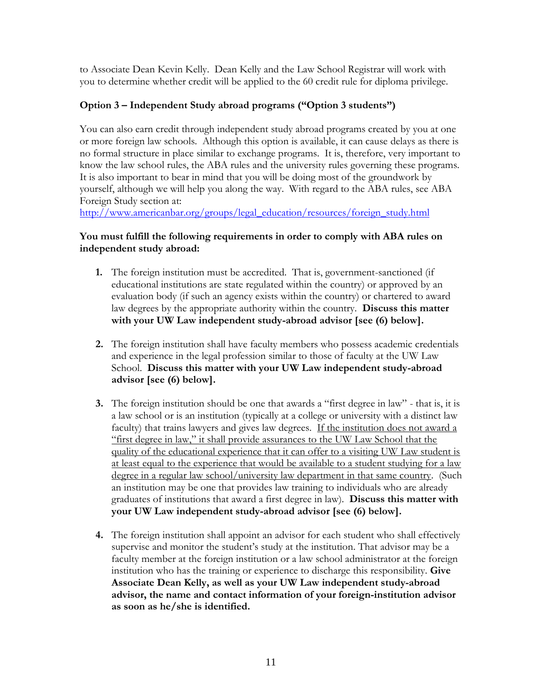to Associate Dean Kevin Kelly. Dean Kelly and the Law School Registrar will work with you to determine whether credit will be applied to the 60 credit rule for diploma privilege.

## **Option 3 – Independent Study abroad programs ("Option 3 students")**

You can also earn credit through independent study abroad programs created by you at one or more foreign law schools. Although this option is available, it can cause delays as there is no formal structure in place similar to exchange programs. It is, therefore, very important to know the law school rules, the ABA rules and the university rules governing these programs. It is also important to bear in mind that you will be doing most of the groundwork by yourself, although we will help you along the way. With regard to the ABA rules, see ABA Foreign Study section at:

[http://www.americanbar.org/groups/legal\\_education/resources/foreign\\_study.html](http://www.americanbar.org/groups/legal_education/resources/foreign_study.html)

#### **You must fulfill the following requirements in order to comply with ABA rules on independent study abroad:**

- **1.** The foreign institution must be accredited. That is, government-sanctioned (if educational institutions are state regulated within the country) or approved by an evaluation body (if such an agency exists within the country) or chartered to award law degrees by the appropriate authority within the country. **Discuss this matter with your UW Law independent study-abroad advisor [see (6) below].**
- **2.** The foreign institution shall have faculty members who possess academic credentials and experience in the legal profession similar to those of faculty at the UW Law School. **Discuss this matter with your UW Law independent study-abroad advisor [see (6) below].**
- **3.** The foreign institution should be one that awards a "first degree in law" that is, it is a law school or is an institution (typically at a college or university with a distinct law faculty) that trains lawyers and gives law degrees. If the institution does not award a "first degree in law," it shall provide assurances to the UW Law School that the quality of the educational experience that it can offer to a visiting UW Law student is at least equal to the experience that would be available to a student studying for a law degree in a regular law school/university law department in that same country. (Such an institution may be one that provides law training to individuals who are already graduates of institutions that award a first degree in law). **Discuss this matter with your UW Law independent study-abroad advisor [see (6) below].**
- **4.** The foreign institution shall appoint an advisor for each student who shall effectively supervise and monitor the student's study at the institution. That advisor may be a faculty member at the foreign institution or a law school administrator at the foreign institution who has the training or experience to discharge this responsibility. **Give Associate Dean Kelly, as well as your UW Law independent study-abroad advisor, the name and contact information of your foreign-institution advisor as soon as he/she is identified.**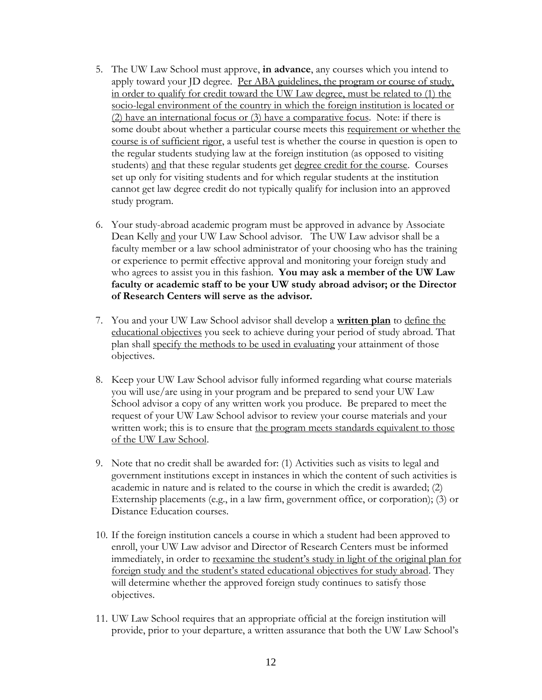- 5. The UW Law School must approve, **in advance**, any courses which you intend to apply toward your JD degree. Per ABA guidelines, the program or course of study, in order to qualify for credit toward the UW Law degree, must be related to (1) the socio-legal environment of the country in which the foreign institution is located or (2) have an international focus or (3) have a comparative focus. Note: if there is some doubt about whether a particular course meets this requirement or whether the course is of sufficient rigor, a useful test is whether the course in question is open to the regular students studying law at the foreign institution (as opposed to visiting students) and that these regular students get degree credit for the course. Courses set up only for visiting students and for which regular students at the institution cannot get law degree credit do not typically qualify for inclusion into an approved study program.
- 6. Your study-abroad academic program must be approved in advance by Associate Dean Kelly and your UW Law School advisor. The UW Law advisor shall be a faculty member or a law school administrator of your choosing who has the training or experience to permit effective approval and monitoring your foreign study and who agrees to assist you in this fashion. **You may ask a member of the UW Law faculty or academic staff to be your UW study abroad advisor; or the Director of Research Centers will serve as the advisor.**
- 7. You and your UW Law School advisor shall develop a **written plan** to define the educational objectives you seek to achieve during your period of study abroad. That plan shall specify the methods to be used in evaluating your attainment of those objectives.
- 8. Keep your UW Law School advisor fully informed regarding what course materials you will use/are using in your program and be prepared to send your UW Law School advisor a copy of any written work you produce. Be prepared to meet the request of your UW Law School advisor to review your course materials and your written work; this is to ensure that the program meets standards equivalent to those of the UW Law School.
- 9. Note that no credit shall be awarded for: (1) Activities such as visits to legal and government institutions except in instances in which the content of such activities is academic in nature and is related to the course in which the credit is awarded; (2) Externship placements (e.g., in a law firm, government office, or corporation); (3) or Distance Education courses.
- 10. If the foreign institution cancels a course in which a student had been approved to enroll, your UW Law advisor and Director of Research Centers must be informed immediately, in order to reexamine the student's study in light of the original plan for foreign study and the student's stated educational objectives for study abroad. They will determine whether the approved foreign study continues to satisfy those objectives.
- 11. UW Law School requires that an appropriate official at the foreign institution will provide, prior to your departure, a written assurance that both the UW Law School's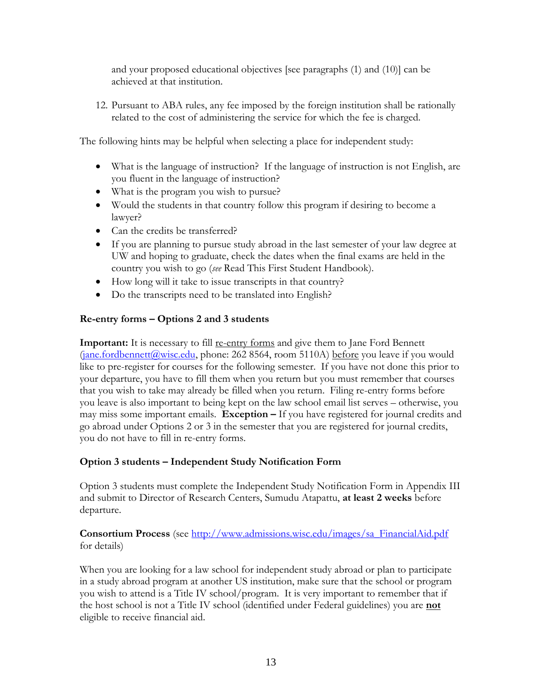and your proposed educational objectives [see paragraphs (1) and (10)] can be achieved at that institution.

12. Pursuant to ABA rules, any fee imposed by the foreign institution shall be rationally related to the cost of administering the service for which the fee is charged.

The following hints may be helpful when selecting a place for independent study:

- What is the language of instruction? If the language of instruction is not English, are you fluent in the language of instruction?
- What is the program you wish to pursue?
- Would the students in that country follow this program if desiring to become a lawyer?
- Can the credits be transferred?
- If you are planning to pursue study abroad in the last semester of your law degree at UW and hoping to graduate, check the dates when the final exams are held in the country you wish to go (*see* Read This First Student Handbook).
- How long will it take to issue transcripts in that country?
- Do the transcripts need to be translated into English?

## **Re-entry forms – Options 2 and 3 students**

**Important:** It is necessary to fill re-entry forms and give them to Jane Ford Bennett  $(jane.fordbennett@wisc.edu, phone: 262 8564, room 5110A) before you leave if you would$  $(jane.fordbennett@wisc.edu, phone: 262 8564, room 5110A) before you leave if you would$ like to pre-register for courses for the following semester. If you have not done this prior to your departure, you have to fill them when you return but you must remember that courses that you wish to take may already be filled when you return. Filing re-entry forms before you leave is also important to being kept on the law school email list serves – otherwise, you may miss some important emails. **Exception –** If you have registered for journal credits and go abroad under Options 2 or 3 in the semester that you are registered for journal credits, you do not have to fill in re-entry forms.

## **Option 3 students – Independent Study Notification Form**

Option 3 students must complete the Independent Study Notification Form in Appendix III and submit to Director of Research Centers, Sumudu Atapattu, **at least 2 weeks** before departure.

**Consortium Process** (see [http://www.admissions.wisc.edu/images/sa\\_FinancialAid.pdf](http://www.admissions.wisc.edu/images/sa_FinancialAid.pdf) for details)

When you are looking for a law school for independent study abroad or plan to participate in a study abroad program at another US institution, make sure that the school or program you wish to attend is a Title IV school/program. It is very important to remember that if the host school is not a Title IV school (identified under Federal guidelines) you are **not** eligible to receive financial aid.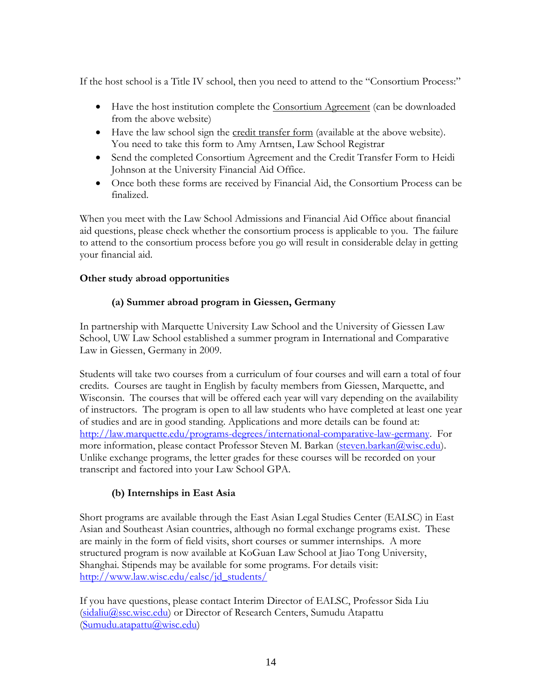If the host school is a Title IV school, then you need to attend to the "Consortium Process:"

- Have the host institution complete the Consortium Agreement (can be downloaded from the above website)
- Have the law school sign the credit transfer form (available at the above website). You need to take this form to Amy Arntsen, Law School Registrar
- Send the completed Consortium Agreement and the Credit Transfer Form to Heidi Johnson at the University Financial Aid Office.
- Once both these forms are received by Financial Aid, the Consortium Process can be finalized.

When you meet with the Law School Admissions and Financial Aid Office about financial aid questions, please check whether the consortium process is applicable to you. The failure to attend to the consortium process before you go will result in considerable delay in getting your financial aid.

#### **Other study abroad opportunities**

## **(a) Summer abroad program in Giessen, Germany**

In partnership with Marquette University Law School and the University of Giessen Law School, UW Law School established a summer program in International and Comparative Law in Giessen, Germany in 2009.

Students will take two courses from a curriculum of four courses and will earn a total of four credits. Courses are taught in English by faculty members from Giessen, Marquette, and Wisconsin. The courses that will be offered each year will vary depending on the availability of instructors. The program is open to all law students who have completed at least one year of studies and are in good standing. Applications and more details can be found at: [http://law.marquette.edu/programs-degrees/international-comparative-law-germany.](http://law.marquette.edu/programs-degrees/international-comparative-law-germany) For more information, please contact [Professor Steven M. Barkan](mailto:smbarkan@wisc.edu) [\(steven.barkan@wisc.edu\)](mailto:steven.barkan@wisc.edu). Unlike exchange programs, the letter grades for these courses will be recorded on your transcript and factored into your Law School GPA.

## **(b) Internships in East Asia**

Short programs are available through the East Asian Legal Studies Center (EALSC) in East Asian and Southeast Asian countries, although no formal exchange programs exist. These are mainly in the form of field visits, short courses or summer internships. A more structured program is now available at KoGuan Law School at Jiao Tong University, Shanghai. Stipends may be available for some programs. For details visit: [http://www.law.wisc.edu/ealsc/jd\\_students/](http://www.law.wisc.edu/ealsc/jd_students/)

If you have questions, please contact Interim Director of EALSC, Professor Sida Liu [\(sidaliu@ssc.wisc.edu\)](mailto:sidaliu@ssc.wisc.edu) or Director of Research Centers, Sumudu Atapattu [\(Sumudu.atapattu@wisc.edu\)](mailto:Sumudu.atapattu@wisc.edu)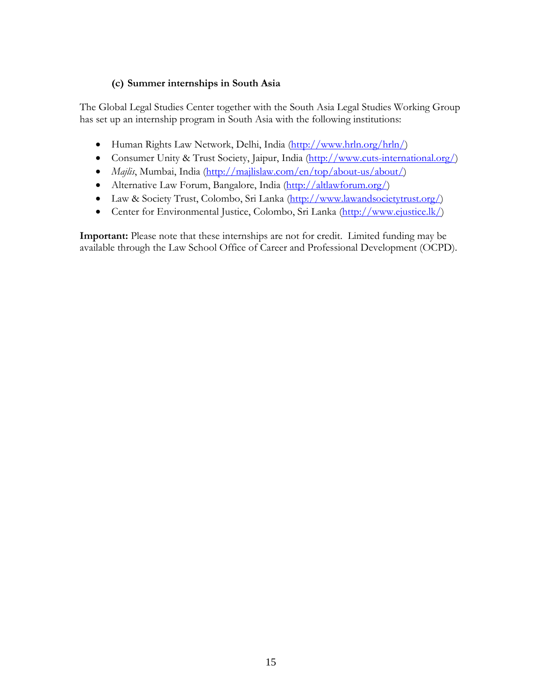#### **(c) Summer internships in South Asia**

The Global Legal Studies Center together with the [South Asia Legal Studies Working Group](http://law.wisc.edu/gls/sa_legal_studies_working_group.html) has set up an internship program in South Asia with the following institutions:

- [Human Rights Law Network,](http://www.hrln.org/) Delhi, India [\(http://www.hrln.org/hrln/\)](http://www.hrln.org/hrln/)
- [Consumer Unity & Trust Society,](http://www.cuts-international.org/) Jaipur, India [\(http://www.cuts-international.org/\)](http://www.cuts-international.org/)
- *[Majlis](http://www.majlisbombay.org/index.htm)*, Mumbai, India [\(http://majlislaw.com/en/top/about-us/about/\)](http://majlislaw.com/en/top/about-us/about/)
- [Alternative Law Forum,](http://www.altlawforum.org/) Bangalore, India [\(http://altlawforum.org/\)](http://altlawforum.org/)
- Law & Society Trust, Colombo, Sri Lanka [\(http://www.lawandsocietytrust.org/\)](http://www.lawandsocietytrust.org/)
- Center for Environmental Justice, Colombo, Sri Lanka [\(http://www.ejustice.lk/\)](http://www.ejustice.lk/)

**Important:** Please note that these internships are not for credit. Limited funding may be available through the Law School Office of Career and Professional Development (OCPD).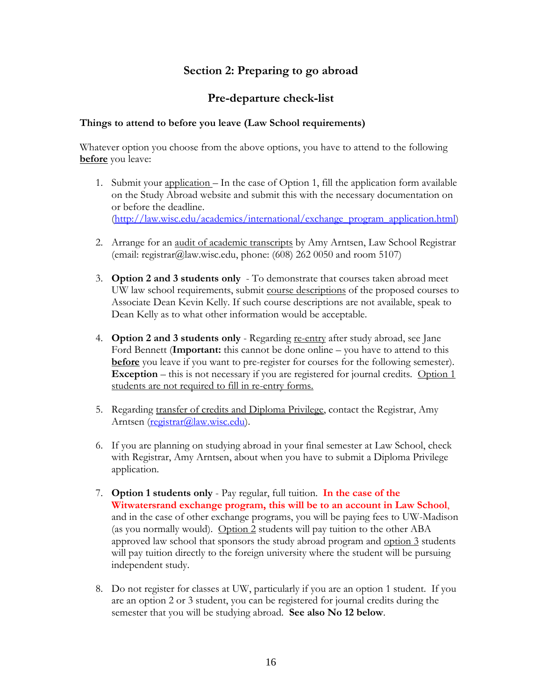## **Section 2: Preparing to go abroad**

## **Pre-departure check-list**

#### **Things to attend to before you leave (Law School requirements)**

Whatever option you choose from the above options, you have to attend to the following **before** you leave:

- 1. Submit your application In the case of Option 1, fill the application form available on the Study Abroad website and submit this with the necessary documentation on or before the deadline. [\(http://law.wisc.edu/academics/international/exchange\\_program\\_application.html\)](http://law.wisc.edu/academics/international/exchange_program_application.html)
- 2. Arrange for an audit of academic transcripts by Amy Arntsen, Law School Registrar (email: registrar@law.wisc.edu, phone:  $(608)$  262 0050 and room 5107)
- 3. **Option 2 and 3 students only** To demonstrate that courses taken abroad meet UW law school requirements, submit course descriptions of the proposed courses to Associate Dean Kevin Kelly. If such course descriptions are not available, speak to Dean Kelly as to what other information would be acceptable.
- 4. **Option 2 and 3 students only** Regarding re-entry after study abroad, see Jane Ford Bennett (**Important:** this cannot be done online – you have to attend to this **before** you leave if you want to pre-register for courses for the following semester). **Exception** – this is not necessary if you are registered for journal credits. Option 1 students are not required to fill in re-entry forms.
- 5. Regarding transfer of credits and Diploma Privilege, contact the Registrar, Amy Arntsen [\(registrar@law.wisc.edu\)](mailto:registrar@law.wisc.edu).
- 6. If you are planning on studying abroad in your final semester at Law School, check with Registrar, Amy Arntsen, about when you have to submit a Diploma Privilege application.
- 7. **Option 1 students only** Pay regular, full tuition. **In the case of the Witwatersrand exchange program, this will be to an account in Law School**, and in the case of other exchange programs, you will be paying fees to UW-Madison (as you normally would). Option 2 students will pay tuition to the other ABA approved law school that sponsors the study abroad program and option 3 students will pay tuition directly to the foreign university where the student will be pursuing independent study.
- 8. Do not register for classes at UW, particularly if you are an option 1 student. If you are an option 2 or 3 student, you can be registered for journal credits during the semester that you will be studying abroad. **See also No 12 below**.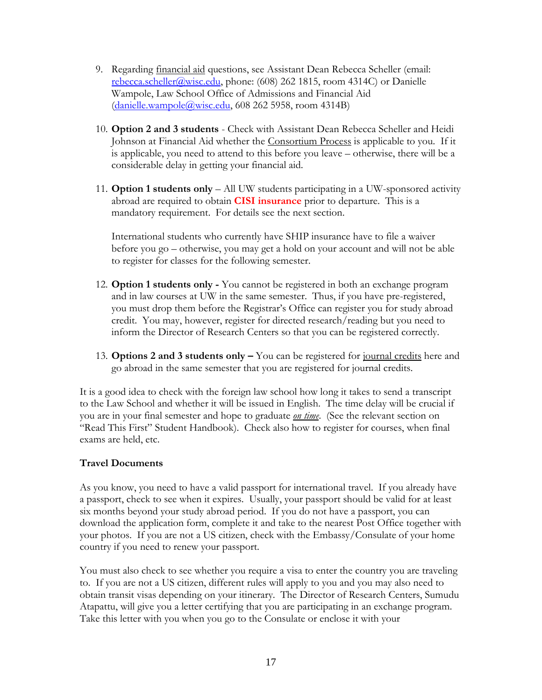- 9. Regarding financial aid questions, see Assistant Dean Rebecca Scheller (email: [rebecca.scheller@wisc.edu,](mailto:rebecca.scheller@wisc.edu) phone: (608) 262 1815, room 4314C) or Danielle Wampole, Law School Office of Admissions and Financial Aid [\(danielle.wampole@wisc.edu,](mailto:danielle.wampole@wisc.edu) 608 262 5958, room 4314B)
- 10. **Option 2 and 3 students** Check with Assistant Dean Rebecca Scheller and Heidi Johnson at Financial Aid whether the Consortium Process is applicable to you. If it is applicable, you need to attend to this before you leave – otherwise, there will be a considerable delay in getting your financial aid.
- 11. **Option 1 students only** All UW students participating in a UW-sponsored activity abroad are required to obtain **CISI insurance** prior to departure. This is a mandatory requirement. For details see the next section.

International students who currently have SHIP insurance have to file a waiver before you go – otherwise, you may get a hold on your account and will not be able to register for classes for the following semester.

- 12. **Option 1 students only -** You cannot be registered in both an exchange program and in law courses at UW in the same semester. Thus, if you have pre-registered, you must drop them before the Registrar's Office can register you for study abroad credit. You may, however, register for directed research/reading but you need to inform the Director of Research Centers so that you can be registered correctly.
- 13. **Options 2 and 3 students only –** You can be registered for journal credits here and go abroad in the same semester that you are registered for journal credits.

It is a good idea to check with the foreign law school how long it takes to send a transcript to the Law School and whether it will be issued in English. The time delay will be crucial if you are in your final semester and hope to graduate *on time*. (See the relevant section on "Read This First" Student Handbook). Check also how to register for courses, when final exams are held, etc.

#### **Travel Documents**

As you know, you need to have a valid passport for international travel. If you already have a passport, check to see when it expires. Usually, your passport should be valid for at least six months beyond your study abroad period. If you do not have a passport, you can download the application form, complete it and take to the nearest Post Office together with your photos. If you are not a US citizen, check with the Embassy/Consulate of your home country if you need to renew your passport.

You must also check to see whether you require a visa to enter the country you are traveling to. If you are not a US citizen, different rules will apply to you and you may also need to obtain transit visas depending on your itinerary. The Director of Research Centers, Sumudu Atapattu, will give you a letter certifying that you are participating in an exchange program. Take this letter with you when you go to the Consulate or enclose it with your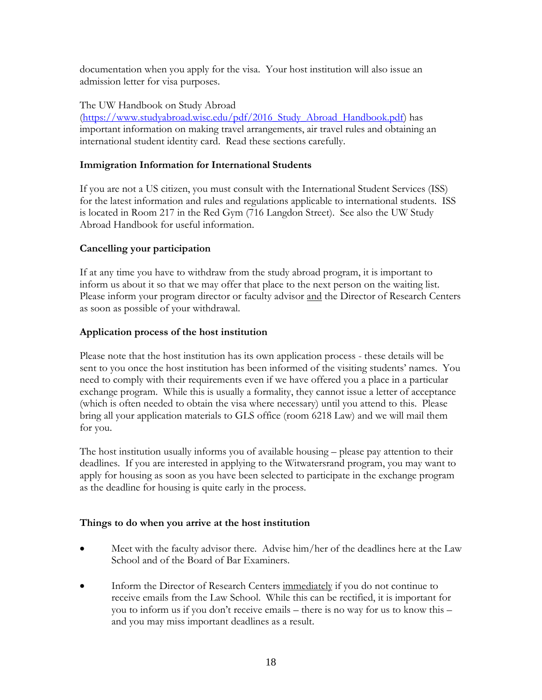documentation when you apply for the visa. Your host institution will also issue an admission letter for visa purposes.

The UW Handbook on Study Abroad [\(https://www.studyabroad.wisc.edu/pdf/2016\\_Study\\_Abroad\\_Handbook.pdf\)](https://www.studyabroad.wisc.edu/pdf/2016_Study_Abroad_Handbook.pdf) has important information on making travel arrangements, air travel rules and obtaining an international student identity card. Read these sections carefully.

## **Immigration Information for International Students**

If you are not a US citizen, you must consult with the International Student Services (ISS) for the latest information and rules and regulations applicable to international students. ISS is located in Room 217 in the Red Gym (716 Langdon Street). See also the UW Study Abroad Handbook for useful information.

## **Cancelling your participation**

If at any time you have to withdraw from the study abroad program, it is important to inform us about it so that we may offer that place to the next person on the waiting list. Please inform your program director or faculty advisor and the Director of Research Centers as soon as possible of your withdrawal.

## **Application process of the host institution**

Please note that the host institution has its own application process - these details will be sent to you once the host institution has been informed of the visiting students' names. You need to comply with their requirements even if we have offered you a place in a particular exchange program. While this is usually a formality, they cannot issue a letter of acceptance (which is often needed to obtain the visa where necessary) until you attend to this. Please bring all your application materials to GLS office (room 6218 Law) and we will mail them for you.

The host institution usually informs you of available housing – please pay attention to their deadlines. If you are interested in applying to the Witwatersrand program, you may want to apply for housing as soon as you have been selected to participate in the exchange program as the deadline for housing is quite early in the process.

## **Things to do when you arrive at the host institution**

- Meet with the faculty advisor there. Advise him/her of the deadlines here at the Law School and of the Board of Bar Examiners.
- Inform the Director of Research Centers immediately if you do not continue to receive emails from the Law School. While this can be rectified, it is important for you to inform us if you don't receive emails – there is no way for us to know this – and you may miss important deadlines as a result.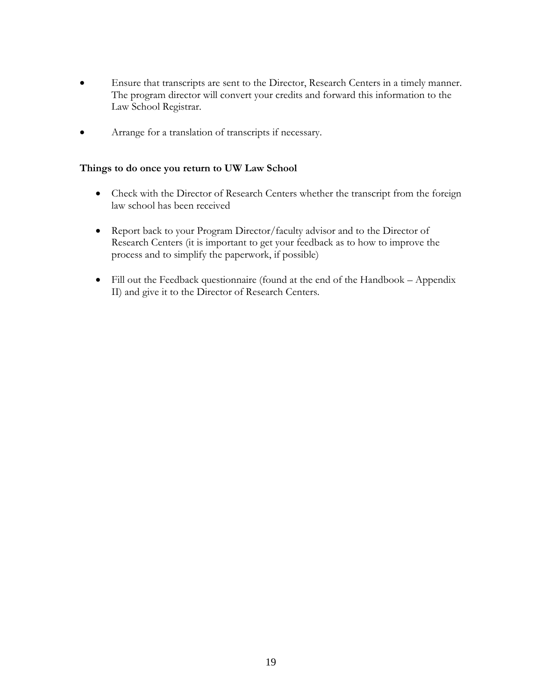- Ensure that transcripts are sent to the Director, Research Centers in a timely manner. The program director will convert your credits and forward this information to the Law School Registrar.
- Arrange for a translation of transcripts if necessary.

#### **Things to do once you return to UW Law School**

- Check with the Director of Research Centers whether the transcript from the foreign law school has been received
- Report back to your Program Director/faculty advisor and to the Director of Research Centers (it is important to get your feedback as to how to improve the process and to simplify the paperwork, if possible)
- Fill out the Feedback questionnaire (found at the end of the Handbook Appendix II) and give it to the Director of Research Centers.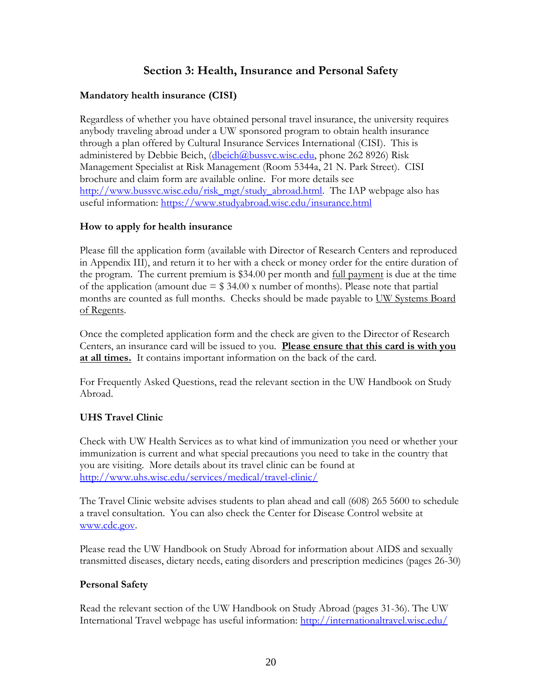## **Section 3: Health, Insurance and Personal Safety**

## **Mandatory health insurance (CISI)**

Regardless of whether you have obtained personal travel insurance, the university requires anybody traveling abroad under a UW sponsored program to obtain health insurance through a plan offered by Cultural Insurance Services International (CISI). This is administered by Debbie Beich, [\(dbeich@bussvc.wisc.edu,](mailto:dbeich@bussvc.wisc.edu) phone 262 8926) Risk Management Specialist at Risk Management (Room 5344a, 21 N. Park Street). CISI brochure and claim form are available online. For more details see [http://www.bussvc.wisc.edu/risk\\_mgt/study\\_abroad.html.](http://www.bussvc.wisc.edu/risk_mgt/study_abroad.html) The IAP webpage also has useful information:<https://www.studyabroad.wisc.edu/insurance.html>

#### **How to apply for health insurance**

Please fill the application form (available with Director of Research Centers and reproduced in Appendix III), and return it to her with a check or money order for the entire duration of the program. The current premium is \$34.00 per month and full payment is due at the time of the application (amount due  $= $34.00 \text{ x}$  number of months). Please note that partial months are counted as full months. Checks should be made payable to UW Systems Board of Regents.

Once the completed application form and the check are given to the Director of Research Centers, an insurance card will be issued to you. **Please ensure that this card is with you at all times.** It contains important information on the back of the card.

For Frequently Asked Questions, read the relevant section in the UW Handbook on Study Abroad.

## **UHS Travel Clinic**

Check with UW Health Services as to what kind of immunization you need or whether your immunization is current and what special precautions you need to take in the country that you are visiting. More details about its travel clinic can be found at <http://www.uhs.wisc.edu/services/medical/travel-clinic/>

The Travel Clinic website advises students to plan ahead and call (608) 265 5600 to schedule a travel consultation. You can also check the Center for Disease Control website at [www.cdc.gov.](http://www.cdc.gov/)

Please read the UW Handbook on Study Abroad for information about AIDS and sexually transmitted diseases, dietary needs, eating disorders and prescription medicines (pages 26-30)

#### **Personal Safety**

Read the relevant section of the UW Handbook on Study Abroad (pages 31-36). The UW International Travel webpage has useful information:<http://internationaltravel.wisc.edu/>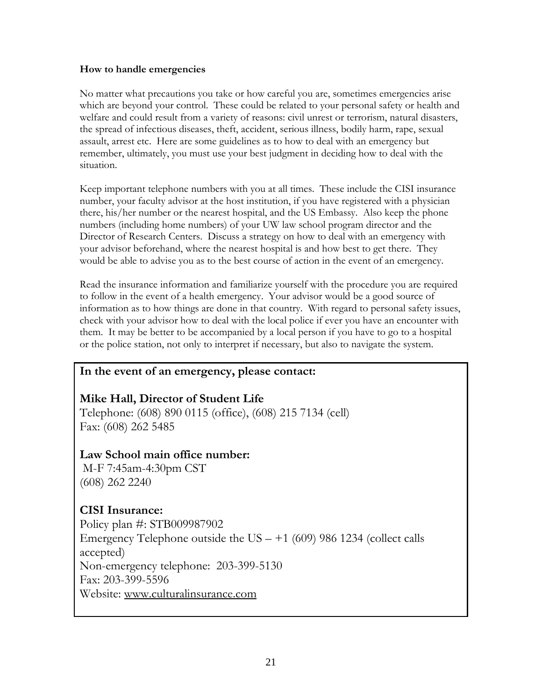#### **How to handle emergencies**

No matter what precautions you take or how careful you are, sometimes emergencies arise which are beyond your control. These could be related to your personal safety or health and welfare and could result from a variety of reasons: civil unrest or terrorism, natural disasters, the spread of infectious diseases, theft, accident, serious illness, bodily harm, rape, sexual assault, arrest etc. Here are some guidelines as to how to deal with an emergency but remember, ultimately, you must use your best judgment in deciding how to deal with the situation.

Keep important telephone numbers with you at all times. These include the CISI insurance number, your faculty advisor at the host institution, if you have registered with a physician there, his/her number or the nearest hospital, and the US Embassy. Also keep the phone numbers (including home numbers) of your UW law school program director and the Director of Research Centers. Discuss a strategy on how to deal with an emergency with your advisor beforehand, where the nearest hospital is and how best to get there. They would be able to advise you as to the best course of action in the event of an emergency.

Read the insurance information and familiarize yourself with the procedure you are required to follow in the event of a health emergency. Your advisor would be a good source of information as to how things are done in that country. With regard to personal safety issues, check with your advisor how to deal with the local police if ever you have an encounter with them. It may be better to be accompanied by a local person if you have to go to a hospital or the police station, not only to interpret if necessary, but also to navigate the system.

## **In the event of an emergency, please contact:**

**Mike Hall, Director of Student Life** Telephone: (608) 890 0115 (office), (608) 215 7134 (cell) Fax: (608) 262 5485

## **Law School main office number:**

M-F 7:45am-4:30pm CST (608) 262 2240

## **CISI Insurance:**

Policy plan #: STB009987902 Emergency Telephone outside the US  $- +1$  (609) 986 1234 (collect calls accepted) Non-emergency telephone: 203-399-5130 Fax: 203-399-5596 Website: [www.culturalinsurance.com](http://www.culturalinsurance.com/)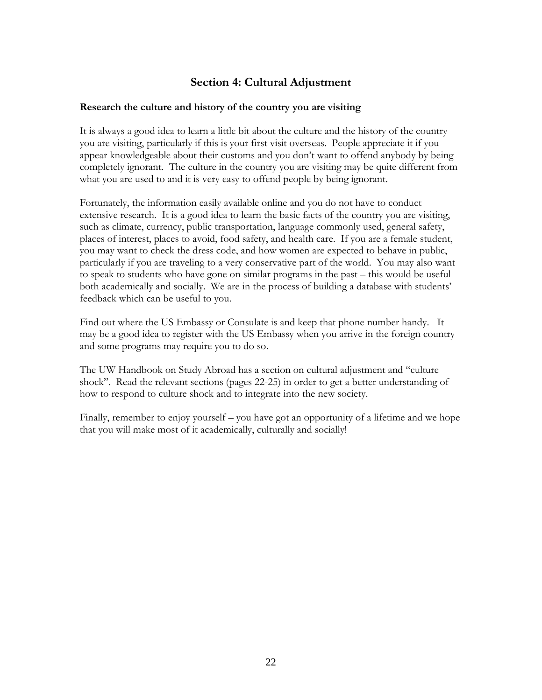## **Section 4: Cultural Adjustment**

#### **Research the culture and history of the country you are visiting**

It is always a good idea to learn a little bit about the culture and the history of the country you are visiting, particularly if this is your first visit overseas. People appreciate it if you appear knowledgeable about their customs and you don't want to offend anybody by being completely ignorant. The culture in the country you are visiting may be quite different from what you are used to and it is very easy to offend people by being ignorant.

Fortunately, the information easily available online and you do not have to conduct extensive research. It is a good idea to learn the basic facts of the country you are visiting, such as climate, currency, public transportation, language commonly used, general safety, places of interest, places to avoid, food safety, and health care. If you are a female student, you may want to check the dress code, and how women are expected to behave in public, particularly if you are traveling to a very conservative part of the world. You may also want to speak to students who have gone on similar programs in the past – this would be useful both academically and socially. We are in the process of building a database with students' feedback which can be useful to you.

Find out where the US Embassy or Consulate is and keep that phone number handy. It may be a good idea to register with the US Embassy when you arrive in the foreign country and some programs may require you to do so.

The UW Handbook on Study Abroad has a section on cultural adjustment and "culture shock". Read the relevant sections (pages 22-25) in order to get a better understanding of how to respond to culture shock and to integrate into the new society.

Finally, remember to enjoy yourself – you have got an opportunity of a lifetime and we hope that you will make most of it academically, culturally and socially!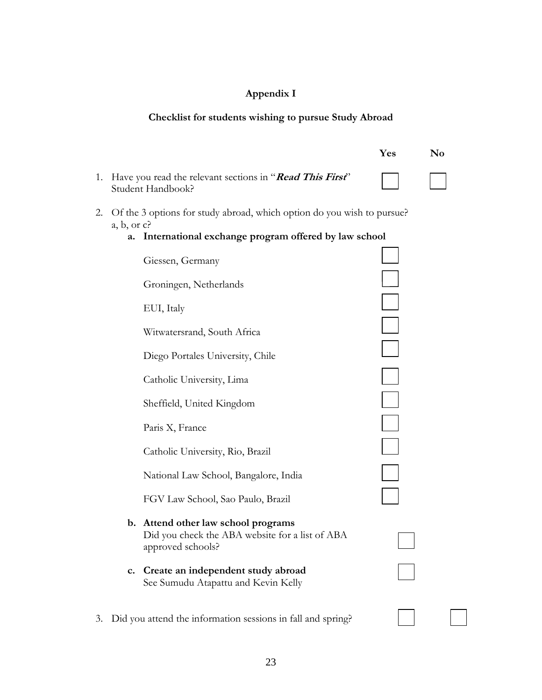# **Appendix I**

## **Checklist for students wishing to pursue Study Abroad**

|    |            |                                                                                                             | Yes | N <sub>0</sub> |
|----|------------|-------------------------------------------------------------------------------------------------------------|-----|----------------|
| 1. |            | Have you read the relevant sections in "Read This First"<br>Student Handbook?                               |     |                |
| 2. | a, b, or c | Of the 3 options for study abroad, which option do you wish to pursue?                                      |     |                |
|    | a.         | International exchange program offered by law school                                                        |     |                |
|    |            | Giessen, Germany                                                                                            |     |                |
|    |            | Groningen, Netherlands                                                                                      |     |                |
|    |            | EUI, Italy                                                                                                  |     |                |
|    |            | Witwatersrand, South Africa                                                                                 |     |                |
|    |            | Diego Portales University, Chile                                                                            |     |                |
|    |            | Catholic University, Lima                                                                                   |     |                |
|    |            | Sheffield, United Kingdom                                                                                   |     |                |
|    |            | Paris X, France                                                                                             |     |                |
|    |            | Catholic University, Rio, Brazil                                                                            |     |                |
|    |            | National Law School, Bangalore, India                                                                       |     |                |
|    |            | FGV Law School, Sao Paulo, Brazil                                                                           |     |                |
|    |            | b. Attend other law school programs<br>Did you check the ABA website for a list of ABA<br>approved schools? |     |                |
|    | c.         | Create an independent study abroad<br>See Sumudu Atapattu and Kevin Kelly                                   |     |                |
| 3. |            | Did you attend the information sessions in fall and spring?                                                 |     |                |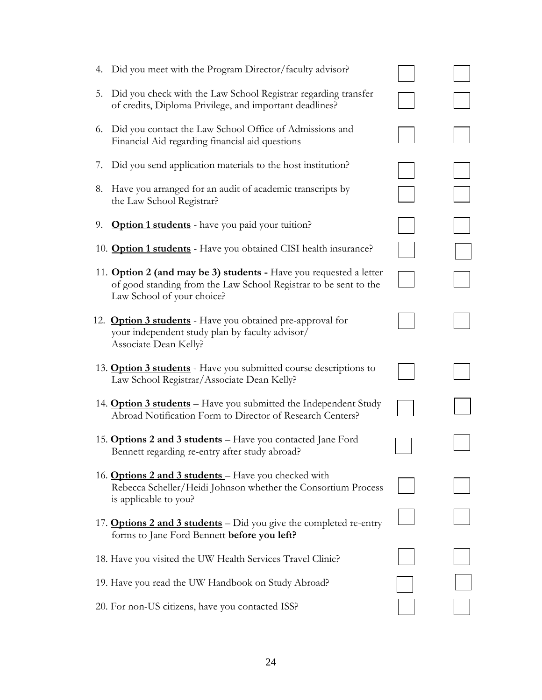| 4. Did you meet with the Program Director/faculty advisor?                                                                                                                  |  |
|-----------------------------------------------------------------------------------------------------------------------------------------------------------------------------|--|
| Did you check with the Law School Registrar regarding transfer<br>5.<br>of credits, Diploma Privilege, and important deadlines?                                             |  |
| 6. Did you contact the Law School Office of Admissions and<br>Financial Aid regarding financial aid questions                                                               |  |
| Did you send application materials to the host institution?<br>7.                                                                                                           |  |
| 8. Have you arranged for an audit of academic transcripts by<br>the Law School Registrar?                                                                                   |  |
| 9.<br><b>Option 1 students</b> - have you paid your tuition?                                                                                                                |  |
| 10. <b>Option 1 students</b> - Have you obtained CISI health insurance?                                                                                                     |  |
| 11. <b>Option 2 (and may be 3) students</b> - Have you requested a letter<br>of good standing from the Law School Registrar to be sent to the<br>Law School of your choice? |  |
| 12. <b>Option 3 students</b> - Have you obtained pre-approval for<br>your independent study plan by faculty advisor/<br>Associate Dean Kelly?                               |  |
| 13. <b>Option 3 students</b> - Have you submitted course descriptions to<br>Law School Registrar/Associate Dean Kelly?                                                      |  |
| 14. <b>Option 3 students</b> – Have you submitted the Independent Study<br>Abroad Notification Form to Director of Research Centers?                                        |  |
|                                                                                                                                                                             |  |
| 15. <b>Options 2 and 3 students</b> – Have you contacted Jane Ford<br>Bennett regarding re-entry after study abroad?                                                        |  |
| 16. <b>Options 2 and 3 students</b> – Have you checked with<br>Rebecca Scheller/Heidi Johnson whether the Consortium Process<br>is applicable to you?                       |  |
| 17. <b>Options 2 and 3 students</b> – Did you give the completed re-entry<br>forms to Jane Ford Bennett before you left?                                                    |  |
| 18. Have you visited the UW Health Services Travel Clinic?                                                                                                                  |  |
| 19. Have you read the UW Handbook on Study Abroad?                                                                                                                          |  |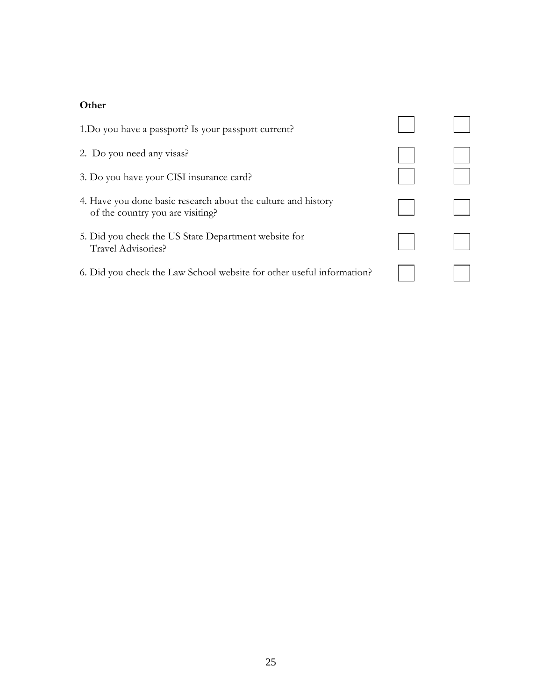#### **Other**

| 1. Do you have a passport? Is your passport current?                                              |  |
|---------------------------------------------------------------------------------------------------|--|
| 2. Do you need any visas?                                                                         |  |
| 3. Do you have your CISI insurance card?                                                          |  |
| 4. Have you done basic research about the culture and history<br>of the country you are visiting? |  |
| 5. Did you check the US State Department website for<br>Travel Advisories?                        |  |
| 6. Did you check the Law School website for other useful information?                             |  |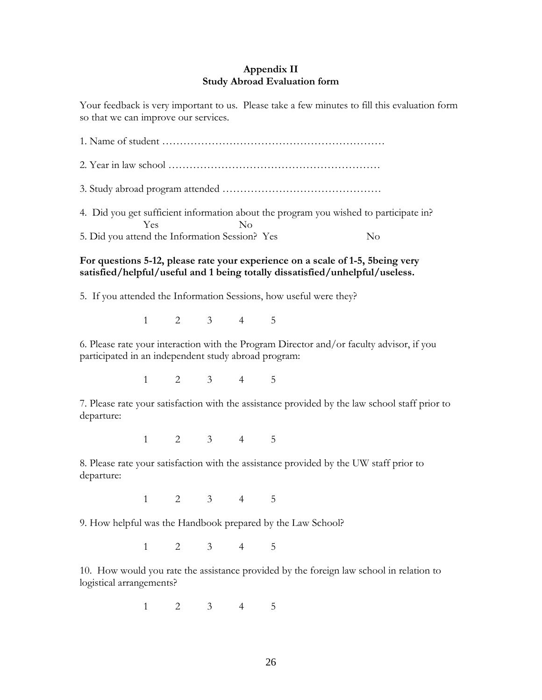#### **Appendix II Study Abroad Evaluation form**

Your feedback is very important to us. Please take a few minutes to fill this evaluation form so that we can improve our services.

1. Name of student ……………………………………………………… 2. Year in law school …………………………………………………… 3. Study abroad program attended ……………………………………… 4. Did you get sufficient information about the program you wished to participate in? Yes No

5. Did you attend the Information Session? Yes No

#### **For questions 5-12, please rate your experience on a scale of 1-5, 5being very satisfied/helpful/useful and 1 being totally dissatisfied/unhelpful/useless.**

5. If you attended the Information Sessions, how useful were they?

1 2 3 4 5

6. Please rate your interaction with the Program Director and/or faculty advisor, if you participated in an independent study abroad program:

1 2 3 4 5

7. Please rate your satisfaction with the assistance provided by the law school staff prior to departure:

1 2 3 4 5

8. Please rate your satisfaction with the assistance provided by the UW staff prior to departure:

1 2 3 4 5

9. How helpful was the Handbook prepared by the Law School?

1 2 3 4 5

10. How would you rate the assistance provided by the foreign law school in relation to logistical arrangements?

1 2 3 4 5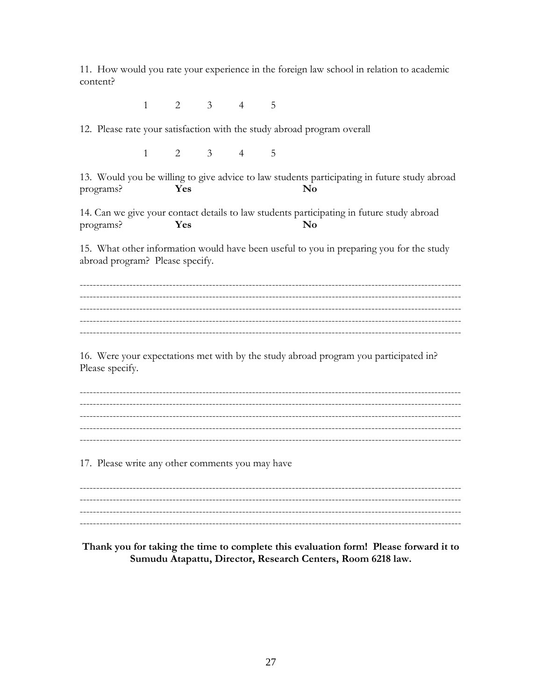11. How would you rate your experience in the foreign law school in relation to academic content?

> $\overline{2}$  $\mathcal{E}$  $\mathbf{1}$  $\overline{4}$ 5

12. Please rate your satisfaction with the study abroad program overall

 $\mathbf{1}$  $\overline{2}$  $\mathfrak{Z}$  $\overline{4}$ 5

13. Would you be willing to give advice to law students participating in future study abroad programs? Yes  $\mathbf{N_0}$ 

14. Can we give your contact details to law students participating in future study abroad Yes  $\mathbf{N}\mathbf{o}$ programs?

15. What other information would have been useful to you in preparing you for the study abroad program? Please specify.

16. Were your expectations met with by the study abroad program you participated in? Please specify.

17. Please write any other comments you may have

Thank you for taking the time to complete this evaluation form! Please forward it to Sumudu Atapattu, Director, Research Centers, Room 6218 law.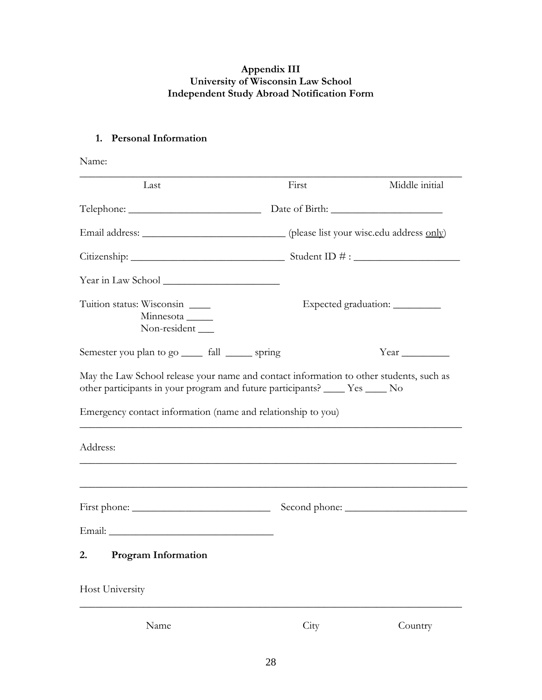#### **Appendix III University of Wisconsin Law School Independent Study Abroad Notification Form**

## **1. Personal Information**

| Name:                                                                      |       |                                  |
|----------------------------------------------------------------------------|-------|----------------------------------|
| Last                                                                       | First | Middle initial                   |
|                                                                            |       |                                  |
|                                                                            |       |                                  |
|                                                                            |       |                                  |
|                                                                            |       |                                  |
| Tuition status: Wisconsin<br>Minnesota <sub>_____</sub><br>Non-resident __ |       | Expected graduation: ___________ |
| Semester you plan to go <u>_____</u> fall _______ spring                   |       |                                  |
| Emergency contact information (name and relationship to you)<br>Address:   |       |                                  |
|                                                                            |       |                                  |
|                                                                            |       |                                  |
|                                                                            |       |                                  |
| <b>Program Information</b><br>2.                                           |       |                                  |
| Host University                                                            |       |                                  |
| Name                                                                       | City  | Country                          |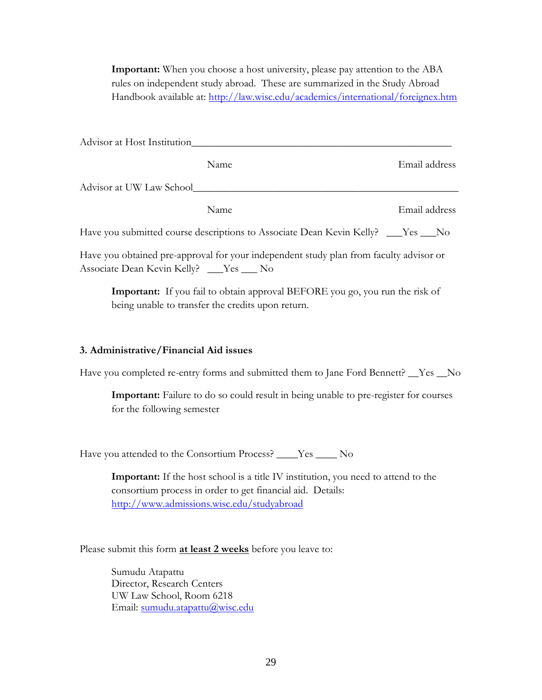**Important:** When you choose a host university, please pay attention to the ABA rules on independent study abroad. These are summarized in the Study Abroad Handbook available at:<http://law.wisc.edu/academics/international/foreignex.htm>

| Advisor at Host Institution |                                                                                    |               |
|-----------------------------|------------------------------------------------------------------------------------|---------------|
|                             | <b>Name</b>                                                                        | Email address |
| Advisor at UW Law School    |                                                                                    |               |
|                             | Name                                                                               | Email address |
|                             | Have you submitted course descriptions to Associate Dean Kevin Kelly? ___Yes ___No |               |

Have you obtained pre-approval for your independent study plan from faculty advisor or Associate Dean Kevin Kelly? \_\_\_Yes \_\_\_ No

**Important:** If you fail to obtain approval BEFORE you go, you run the risk of being unable to transfer the credits upon return.

#### **3. Administrative/Financial Aid issues**

Have you completed re-entry forms and submitted them to Jane Ford Bennett? \_\_Yes \_\_No

**Important:** Failure to do so could result in being unable to pre-register for courses for the following semester

Have you attended to the Consortium Process? \_\_\_\_Yes \_\_\_\_ No

**Important:** If the host school is a title IV institution, you need to attend to the consortium process in order to get financial aid. Details: <http://www.admissions.wisc.edu/studyabroad>

Please submit this form **at least 2 weeks** before you leave to:

Sumudu Atapattu Director, Research Centers UW Law School, Room 6218 Email: [sumudu.atapattu@wisc.edu](mailto:sumudu.atapattu@wisc.edu)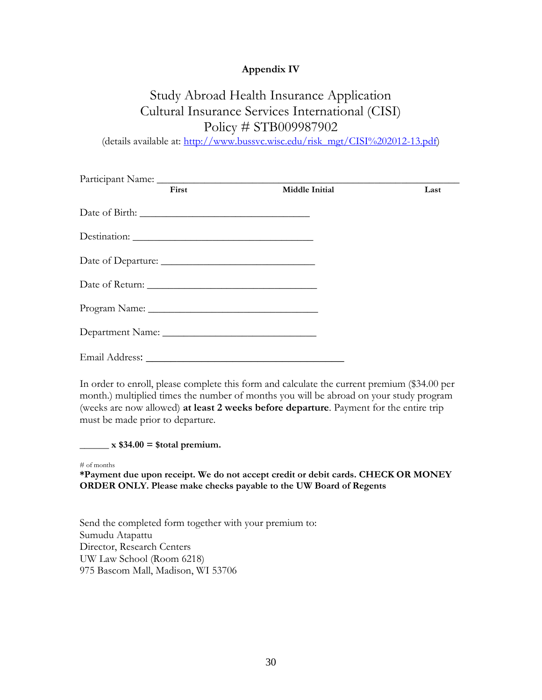#### **Appendix IV**

# Study Abroad Health Insurance Application Cultural Insurance Services International (CISI) Policy # STB009987902

(details available at: [http://www.bussvc.wisc.edu/risk\\_mgt/CISI%202012-13.pdf\)](http://www.bussvc.wisc.edu/risk_mgt/CISI%202012-13.pdf)

| First | Middle Initial | Last |
|-------|----------------|------|
|       |                |      |
|       |                |      |
|       |                |      |
|       |                |      |
|       |                |      |
|       |                |      |
|       |                |      |

In order to enroll, please complete this form and calculate the current premium (\$34.00 per month.) multiplied times the number of months you will be abroad on your study program (weeks are now allowed) **at least 2 weeks before departure**. Payment for the entire trip must be made prior to departure.

 $\mathbf{r}_x$  \$34.00 = \$total premium.

# of months

**\*Payment due upon receipt. We do not accept credit or debit cards. CHECK OR MONEY ORDER ONLY. Please make checks payable to the UW Board of Regents** 

Send the completed form together with your premium to: Sumudu Atapattu Director, Research Centers UW Law School (Room 6218) 975 Bascom Mall, Madison, WI 53706